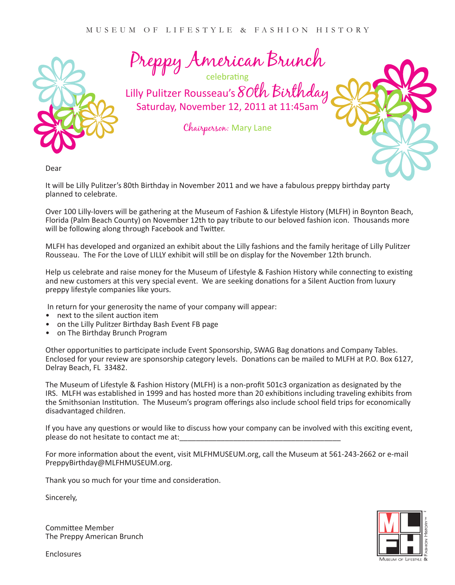

Preppy American Brunch

Lilly Pulitzer Rousseau's 80th Birthday Saturday, November 12, 2011 at 11:45am

Chairperson: Mary Lane

Dear

It will be Lilly Pulitzer's 80th Birthday in November 2011 and we have a fabulous preppy birthday party planned to celebrate.

Over 100 Lilly-lovers will be gathering at the Museum of Fashion & Lifestyle History (MLFH) in Boynton Beach, Florida (Palm Beach County) on November 12th to pay tribute to our beloved fashion icon. Thousands more will be following along through Facebook and Twitter.

MLFH has developed and organized an exhibit about the Lilly fashions and the family heritage of Lilly Pulitzer Rousseau. The For the Love of LILLY exhibit will still be on display for the November 12th brunch.

Help us celebrate and raise money for the Museum of Lifestyle & Fashion History while connecting to existing and new customers at this very special event. We are seeking donations for a Silent Auction from luxury preppy lifestyle companies like yours.

In return for your generosity the name of your company will appear:

- next to the silent auction item
- on the Lilly Pulitzer Birthday Bash Event FB page
- on The Birthday Brunch Program

Other opportunities to participate include Event Sponsorship, SWAG Bag donations and Company Tables. Enclosed for your review are sponsorship category levels. Donations can be mailed to MLFH at P.O. Box 6127, Delray Beach, FL 33482.

The Museum of Lifestyle & Fashion History (MLFH) is a non-profit 501c3 organization as designated by the IRS. MLFH was established in 1999 and has hosted more than 20 exhibitions including traveling exhibits from the Smithsonian Institution. The Museum's program offerings also include school field trips for economically disadvantaged children.

If you have any questions or would like to discuss how your company can be involved with this exciting event, please do not hesitate to contact me at:\_\_\_\_\_\_\_\_\_\_\_\_\_\_\_\_\_\_\_\_\_\_\_\_\_\_\_\_\_\_\_\_\_\_\_\_\_\_\_

For more information about the event, visit MLFHMUSEUM.org, call the Museum at 561-243-2662 or e-mail PreppyBirthday@MLFHMUSEUM.org.

Thank you so much for your time and consideration.

Sincerely,

Committee Member The Preppy American Brunch

Enclosures